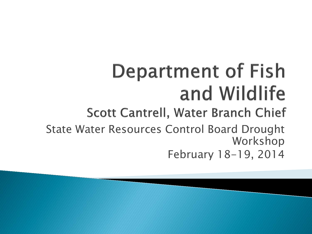# **Department of Fish** and Wildlife

#### Scott Cantrell, Water Branch Chief

State Water Resources Control Board Drought Workshop February 18-19, 2014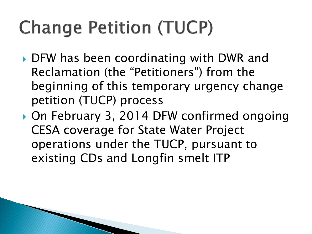## **Change Petition (TUCP)**

- ▶ DFW has been coordinating with DWR and Reclamation (the "Petitioners") from the beginning of this temporary urgency change petition (TUCP) process
- ▶ On February 3, 2014 DFW confirmed ongoing CESA coverage for State Water Project operations under the TUCP, pursuant to existing CDs and Longfin smelt ITP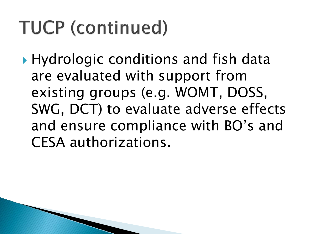▶ Hydrologic conditions and fish data are evaluated with support from existing groups (e.g. WOMT, DOSS, SWG, DCT) to evaluate adverse effects and ensure compliance with BO's and CESA authorizations.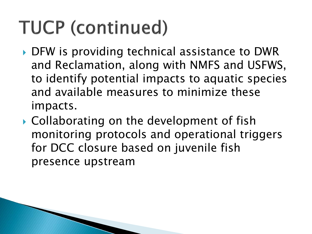- ▶ DFW is providing technical assistance to DWR and Reclamation, along with NMFS and USFWS, to identify potential impacts to aquatic species and available measures to minimize these impacts.
- ▶ Collaborating on the development of fish monitoring protocols and operational triggers for DCC closure based on juvenile fish presence upstream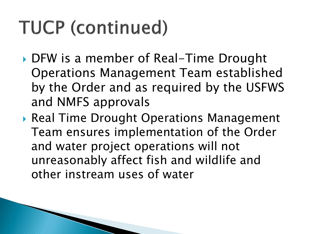- DFW is a member of Real-Time Drought Operations Management Team established by the Order and as required by the USFWS and NMFS approvals
- ▶ Real Time Drought Operations Management Team ensures implementation of the Order and water project operations will not unreasonably affect fish and wildlife and other instream uses of water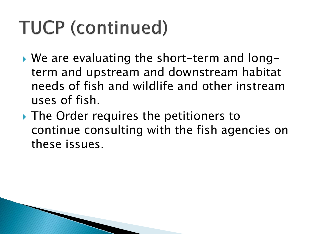- ▶ We are evaluating the short-term and longterm and upstream and downstream habitat needs of fish and wildlife and other instream uses of fish.
- The Order requires the petitioners to continue consulting with the fish agencies on these issues.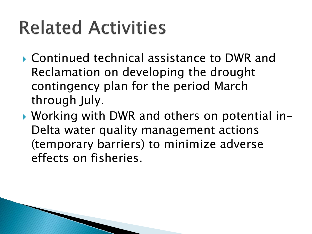## **Related Activities**

- Continued technical assistance to DWR and Reclamation on developing the drought contingency plan for the period March through July.
- ▶ Working with DWR and others on potential in-Delta water quality management actions (temporary barriers) to minimize adverse effects on fisheries.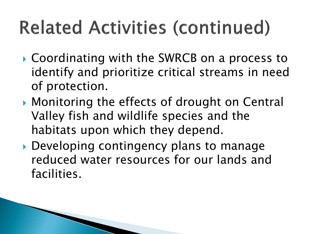## **Related Activities (continued)**

- ▶ Coordinating with the SWRCB on a process to identify and prioritize critical streams in need of protection.
- ▶ Monitoring the effects of drought on Central Valley fish and wildlife species and the habitats upon which they depend.
- ▶ Developing contingency plans to manage reduced water resources for our lands and facilities.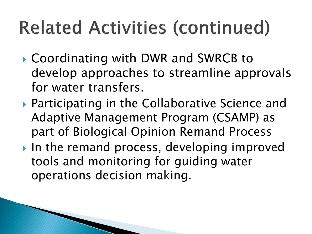## **Related Activities (continued)**

- ▶ Coordinating with DWR and SWRCB to develop approaches to streamline approvals for water transfers.
- ▶ Participating in the Collaborative Science and Adaptive Management Program (CSAMP) as part of Biological Opinion Remand Process
- In the remand process, developing improved tools and monitoring for guiding water operations decision making.